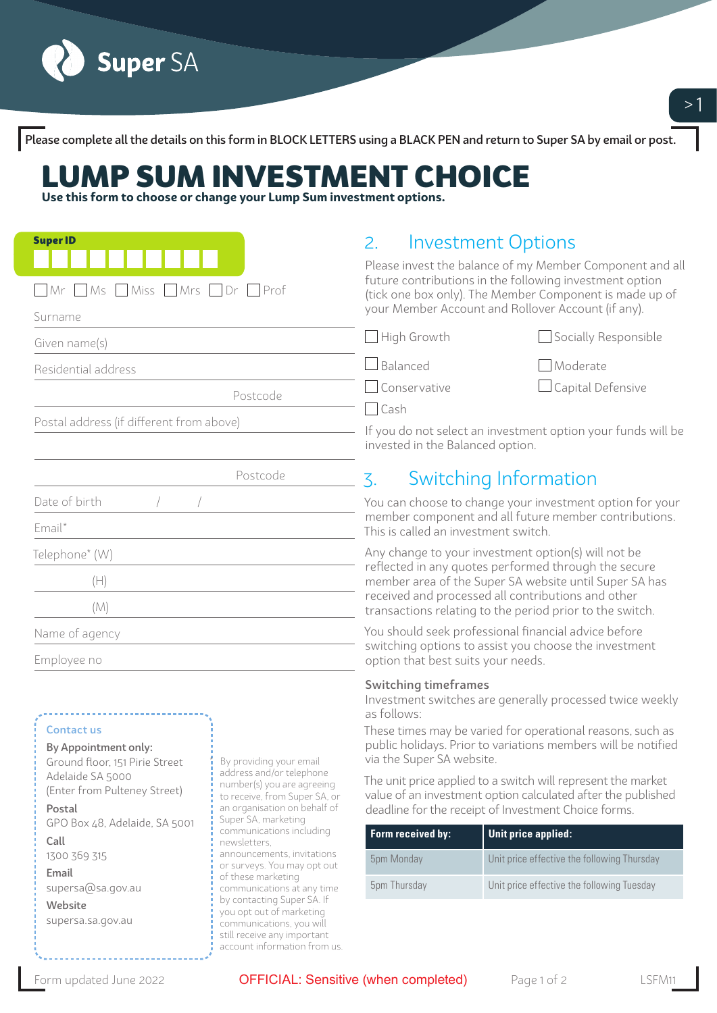

Please complete all the details on this form in BLOCK LETTERS using a BLACK PEN and return to Super SA by email or post.

## LUMP SUM INVESTMENT CHOICE

**Use this form to choose or change your Lump Sum investment options.** 

| <b>Super ID</b><br>$\Box$ Mr $\Box$ Ms $\Box$ Miss $\Box$ Mrs $\Box$ Dr<br>Prof<br>Surname                         | <b>Investment Options</b><br>2.<br>Please invest the balance of my Member Component and all<br>future contributions in the following investment option<br>(tick one box only). The Member Component is made up of<br>your Member Account and Rollover Account (if any).                 |  |
|--------------------------------------------------------------------------------------------------------------------|-----------------------------------------------------------------------------------------------------------------------------------------------------------------------------------------------------------------------------------------------------------------------------------------|--|
| Given name(s)                                                                                                      | $\Box$ High Growth<br>$\Box$ Socially Responsible                                                                                                                                                                                                                                       |  |
| Residential address                                                                                                | $\Box$ Balanced<br>Moderate                                                                                                                                                                                                                                                             |  |
| Postcode                                                                                                           | $\Box$ Capital Defensive<br>Conservative<br>$\bigcap$ Cash                                                                                                                                                                                                                              |  |
| Postal address (if different from above)                                                                           | If you do not select an investment option your funds will be<br>invested in the Balanced option.                                                                                                                                                                                        |  |
| Postcode                                                                                                           | Switching Information<br>$\overline{\zeta}$ .                                                                                                                                                                                                                                           |  |
| Date of birth<br>Email*                                                                                            | You can choose to change your investment option for your<br>member component and all future member contributions.<br>This is called an investment switch.                                                                                                                               |  |
| Telephone* (W)<br>(H)<br>(M)                                                                                       | Any change to your investment option(s) will not be<br>reflected in any quotes performed through the secure<br>member area of the Super SA website until Super SA has<br>received and processed all contributions and other<br>transactions relating to the period prior to the switch. |  |
| Name of agency<br>Employee no                                                                                      | You should seek professional financial advice before<br>switching options to assist you choose the investment<br>option that best suits your needs.                                                                                                                                     |  |
| <b>Contact us</b><br>By Appointment only:<br>Cround Hoor 151 Dirio Ctroot<br>$\frac{1}{2}$ Ry providing your amoil | <b>Switching timeframes</b><br>Investment switches are generally processed twice weekly<br>as follows:<br>These times may be varied for operational reasons, such as<br>public holidays. Prior to variations members will be notified<br>via the Suner SA website                       |  |

Ground floor, 151 Pirie Street Adelaide SA 5000 (Enter from Pulteney Street)

Postal GPO Box 48, Adelaide, SA 5001 Call

1300 369 315 Email supersa@sa.gov.au Website

supersa.sa.gov.au

providing your er address and/or telephone number(s) you are agreeing to receive, from Super SA, or an organisation on behalf of Super SA, marketing communications including newsletters, announcements, invitations or surveys. You may opt out of these marketing communications at any time by contacting Super SA. If you opt out of marketing communications, you will still receive any important account information from us. via the Super SA website.

The unit price applied to a switch will represent the market value of an investment option calculated after the published deadline for the receipt of Investment Choice forms.

| Form received by: | Unit price applied:                         |
|-------------------|---------------------------------------------|
| 5pm Monday        | Unit price effective the following Thursday |
| 5pm Thursday      | Unit price effective the following Tuesday  |

Form updated June 2022 **OFFICIAL: Sensitive (when completed)** Page 1 of 2 LSFM1

 $>1$